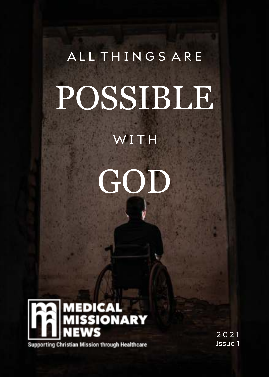# ALL THINGS ARE POSSIBLE

# WITH





**Supporting Christian Mission through Healthcare** 

2 0 2 1 Issue 1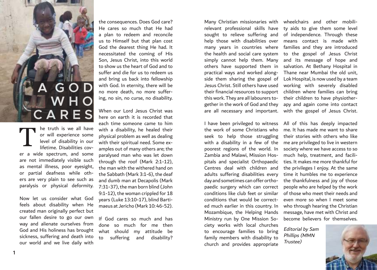# **A G O D W H O C A R E S**

he truth is we all have or will experience some level of disability in our lifetime. Disabilities cover a wide spectrum, and some are not immediately visible such as mental illness, poor eyesight, or partial deafness while others are very plain to see such as paralysis or physical deformity. T

Now let us consider what God feels about disability when He created man originally perfect but our fallen desire to go our own way and alienate ourselves from God and His holiness has brought sickness, suffering and death into our world and we live daily with

the consequences. Does God care? He cares so much that He had a plan to redeem and reconcile us to Himself but that plan cost God the dearest thing He had. It necessitated the coming of His Son, Jesus Christ, into this world to show us the heart of God and to suffer and die for us to redeem us and bring us back into fellowship with God. In eternity, there will be no more death, no more suffering, no sin, no curse, no disability.

When our Lord Jesus Christ was here on earth it is recorded that each time someone came to him with a disability, he healed their physical problem as well as dealing with their spiritual need. Some examples out of many others are; the paralysed man who was let down through the roof (Mark 2:1-12), the man with the withered hand on the Sabbath (Mark 3:1-6), the deaf and dumb man at Decapolis (Mark 7:31-37), the man born blind (John 9:1-12), the woman crippled for 18 years (Luke 13:10-17), blind Bartimaeus at Jericho (Mark 10: 46-52).

If God cares so much and has done so much for me then what should my attitude be to suffering and disability?

Many Christian missionaries with wheelchairs and other mobili-Jesus Christ. Still others have used this work. They are all labourers together in the work of God and they are all necessary and important. with the gospel of Jesus Christ.

the work of some Christians who seek to help those struggling poorest regions of the world. In Zambia and Malawi, Mission Hospitals and specialist Orthopaedic Centres deal with children and adults suffering disabilities every day and sometimes can offer orthopaedic surgery which can correct conditions like club feet or similar conditions that would be corrected much earlier in this country. In Mozambique, the Helping Hands Ministry run by One Mission Society works with local churches to encourage families to bring family members with disability to church and provides appropriate

relevant professional skills have ty aids to give them some level sought to relieve suffering and of independence. Through these help those with disabilities over means contact is made with many years in countries where families and they are introduced the health and social care system to the gospel of Jesus Christ simply cannot help them. Many and its message of hope and others have supported them in salvation. At Bethany Hospital in practical ways and worked along-Thane near Mumbai the old unit, side them sharing the gospel of Lok Hospital, is now used by a team their financial resources to support children where families can bring working with severely disabled their children to have physiotherapy and again come into contact

I have been privileged to witness All of this has deeply impacted with a disability in a few of the me are privileged to live in western me. It has made me want to share their stories with others who like society where we have access to so much help, treatment, and facilities. It makes me more thankful for the privileges I enjoy. At the same time it humbles me to experience the thankfulness and joy of those people who are helped by the work of those who meet their needs and even more so when I meet some who through hearing the Christian message, have met with Christ and become believers for themselves.

> Editorial by Sam Phillips (MMN Trustee)

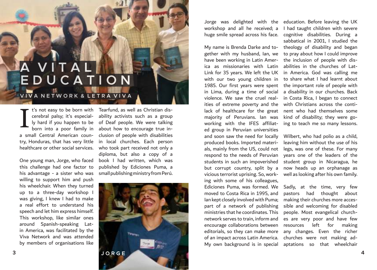# **A V I T A L E D U C A T I O N**

# **V I V A N E T W O R K & L E T R A V I V A**

t's not easy to be born with cerebral palsy; it's especiala small Central American country, Honduras, that has very little I

One young man, Jorge, who faced this challenge had one factor to his advantage - a sister who was willing to support him and push his wheelchair. When they turned up to a three-day workshop I was giving, I knew I had to make a real effort to understand his speech and let him express himself. This workshop, like similar ones around Spanish-speaking Latin America, was facilitated by the Viva Network and was attended by members of organisations like

ly hard if you happen to be of Deaf people. We were talking born into a poor family in about how to encourage true inhealthcare or other social services. who took part received not only a Tearfund, as well as Christian disability activists such as a group clusion of people with disabilities in local churches. Each person diploma, but also a copy of a book I had written, which was published by Ediciones Puma, a small publishing ministry from Perú.



gether with my husband, Ian, we to pray about how I could improve have been working in Latin America as missionaries with Latin abilities in the churches of Lat-Link for 35 years. We left the UK in America. God was calling me with our two young children in to share what I had learnt about 1985. Our first years were spent in Lima, during a time of social violence. We saw the cruel realities of extreme poverty and the with Christians across the contilack of healthcare for the great nent who had themselves some majority of Peruvians. Ian was kind of disability; they were goworking with the IFES affiliated group in Peruvian universities and soon saw the need for locally produced books. Imported materials, mainly from the US, could not respond to the needs of Peruvian students in such an impoverished but corrupt country, split by a vicious terrorist uprising. So, working with some of his colleagues, Ediciones Puma, was formed. We moved to Costa Rica in 1995, and Ian kept closely involved with Puma; part of a network of publishing ministries that he coordinates. This network serves to train, inform and encourage collaborations between editorials, so they can make more of an impact across Latin America. My own background is in special aptations so that wheelchair

Jorge was delighted with the education. Before leaving the UK workshop and all he received; a I had taught children with severe huge smile spread across his face. cognitive disabilities. During a My name is Brenda Darke and to-theology of disability and began sabbatical in 2001, I studied the the inclusion of people with disthe important role of people with a disability in our churches. Back in Costa Rica, I began to connect ing to teach me so many lessons.

> Wilbert, who had polio as a child, leaving him without the use of his legs, was one of these. For many years one of the leaders of the student group in Nicaragua, he now heads up an orphanage as well as looking after his own family.

Sadly, at the time, very few pastors had thought about making their churches more accessible and welcoming for disabled people. Most evangelical churches are very poor and have few resources left for making any changes. Even the richer churches were not making ad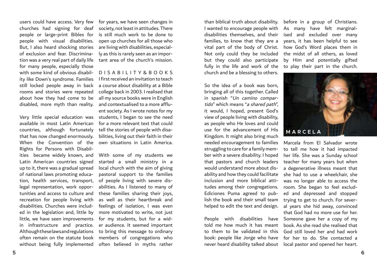people or large-print Bibles for people with visual disabilities. But, I also heard shocking stories of exclusion and fear. Discrimination was a very real part of daily life for many people, especially those with some kind of obvious disability like Down's syndrome. Families still locked people away in back rooms and stories were repeated about how they had come to be disabled, more myth than reality.

Very little special education was available in most Latin American countries, although fortunately that has now changed enormously. When the Convention of the Rights for Persons with Disabilities became widely known, and Latin American countries signed up to it, there was a gradual spread of national laws promoting education, health services, transport, legal representation, work opportunities and access to culture and recreation for people living with disabilities. Churches were included in the legislation and, little by little, we have seen improvements in infrastructure and practice. Although these laws and regulations often remain on the statute book members of congregations who without being fully implemented often believed in myths rather

users could have access. Very few for years, we have seen changes in churches had signing for deaf society, not least in attitudes. There is still much work to be done to open up churches for all those who are living with disabilities, especially as this is rarely seen as an important area of the church's mission.

> D I S A B I L I T Y & B O O K S I first received an invitation to teach a course about disability at a Bible college back in 2003. I realised that all my source books were in English and contextualised to a more affluent society. As I wrote notes for my students, I began to see the need for a more relevant text that could tell the stories of people with disabilities, living out their faith in their own situations in Latin America.

With some of my students we started a small ministry in a local church with the aim of giving pastoral support to the families of people living with severe disabilities. As I listened to many of these families sharing their joys, as well as their heartbreak and feelings of isolation, I was even more motivated to write, not just for my students, but for a wider audience. It seemed important to bring this message to ordinary

I wanted to encourage people with As many have felt marginaldisabilities themselves, and their ised and excluded over many families, to know that they are a years, it has been helpful to see vital part of the body of Christ. how God's Word places them in Not only could they be included the midst of all others, as loved but they could also participate by Him and potentially gifted fully in the life and work of the to play their part in the church. church and be a blessing to others.

So the idea of a book was born, bringing all of this together. Called in spanish "Un camino compartido" which means "a shared path", it would, I hoped, present God's view of people living with disability, as people who He loves and could use for the advancement of His Kingdom. It might also bring much needed encouragement to families struggling to care for a family member with a severe disability. I hoped that pastors and church leaders would understand more about disability and how they could facilitate inclusion and more biblical attitudes among their congregations. Ediciones Puma agreed to publish the book and their small team helped to edit the text and design.

People with disabilities have Someone gave her a copy of my told me how much it has meant to them to be validated in this book: people like Jorge who have never heard disability talked about

than biblical truth about disability. before in a group of Christians.



Marcela from El Salvador wrote to tell me how it had impacted her life. She was a Sunday school teacher for many years but when a degenerative illness meant that she had to use a wheelchair, she was no longer able to access the room. She began to feel excluded and depressed and stopped trying to get to church. For several years she hid away, convinced that God had no more use for her. book. As she read she realised that God still loved her and had work for her to do. She contacted a local pastor and opened her heart.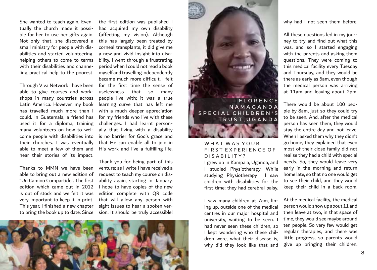tually the church made it possible for her to use her gifts again. Not only that, she discovered a small ministry for people with disabilities and started volunteering, helping others to come to terms with their disabilities and channeling practical help to the poorest.

Through Viva Network I have been able to give courses and workshops in many countries across Latin America. However, my book has travelled much more than I could. In Guatemala, a friend has used it for a diploma, training many volunteers on how to welcome people with disabilities into their churches. I was eventually able to meet a few of them and hear their stories of its impact.

Thanks to MMN we have been able to bring out a new edition of "Un Camino Compartido". The first edition which came out in 2012 is out of stock and we felt it was very important to keep it in print. This year, I finished a new chapter

She wanted to teach again. Even-the first edition was published I had acquired my own disability (affecting my vision). Although this has largely been treated by corneal transplants, it did give me a new and vivid insight into disability. I went through a frustrating period when I could not read a book myself and travelling independently became much more difficult. I felt for the first time the sense of uselessness that so many people live with; it was a true learning curve that has left me with a much deeper appreciation for my friends who live with these challenges. I had learnt personally that living with a disability is no barrier for God's grace and that He can enable all to join in His work and live a fulfilling life.

to bring the book up to date. Since sion. It should be truly accessible! Thank you for being part of this venture; as I write I have received a request to teach my course on disability again, starting in January. I hope to have copies of the new edition complete with QR code that will allow any person with sight issues to hear a spoken ver-





#### WHAT WAS YOUR FIRST EXPERIENCE OF D I S A B I L I T Y ?

I grew up in Kampala, Uganda, and I studied Physiotherapy. While studying Physiotherapy I saw children with disabilities for the first time; they had cerebral palsy.

I saw many children at 7am, lining up, outside one of the medical centres in our major hospital and university, waiting to be seen. I had never seen these children, so I kept wondering who these children were, what their disease is, why did they look like that and why had I not seen them before.

All these questions led in my journey to try and find out what this was, and so I started engaging with the parents and asking them questions. They were coming to this medical facility every Tuesday and Thursday, and they would be there as early as 6am, even though the medical person was arriving at 11am and leaving about 2pm.

There would be about 100 people by 8am, just so they could try to be seen. And, after the medical person has seen them, they would stay the entire day and not leave. When I asked them why they didn't go home, they explained that even most of their close family did not realise they had a child with special needs. So, they would leave very early in the morning and return home late, so that no one would get to see their child, and they would keep their child in a back room.

At the medical facility, the medical person would show up about 11 and then leave at two, in that space of time, they would see maybe around ten people. So very few would get regular therapies, and there was little progress, so parents would give up bringing their children.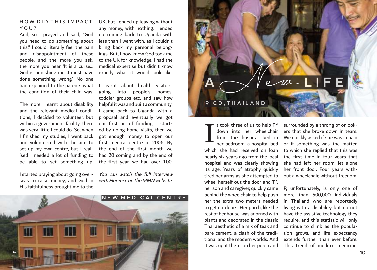#### HOW DID THIS IMPACT YOU?

And, so I prayed and said, "God you need to do something about this." I could literally feel the pain and disappointment of these people, and the more you ask, the more you hear 'It is a curse… God is punishing me…I must have done something wrong'. No one had explained to the parents what I learnt about health visitors, the condition of their child was.

The more I learnt about disability and the relevant medical conditions, I decided to volunteer, but within a government facility, there was very little I could do. So, when I finished my studies, I went back and volunteered with the aim to set up my own centre, but I realised I needed a lot of funding to be able to set something up. the first year, we had over 100.

I started praying about going overseas to raise money, and God in His faithfulness brought me to the

UK, but I ended up leaving without any money, with nothing. I ended up coming back to Uganda with less than I went with, as I couldn't bring back my personal belongings. But, I now know God took me to the UK for knowledge, I had the medical expertise but didn't know exactly what it would look like.

going into people's homes, toddler groups etc, and saw how helpful it was and built a community. I came back to Uganda with a proposal and eventually we got our first bit of funding, I started by doing home visits, then we got enough money to open our first medical centre in 2006. By the end of the first month we had 20 coming and by the end of

You can watch the full interview with Florence on the MMN website.





t took three of us to help P\* down into her wheelchair from the hospital bed in her bedroom; a hospital bed which she had received on loan nearly six years ago from the local hospital and was clearly showing its age. Years of atrophy quickly tired her arms as she attempted to wheel herself out the door and  $T^*$ . her son and caregiver, quickly came behind the wheelchair to help push her the extra two meters needed to get outdoors. Her porch, like the rest of her house, was adorned with plants and decorated in the classic Thai aesthetic of a mix of teak and bare cement, a clash of the traditional and the modern worlds. And it was right there, on her porch and I

surrounded by a throng of onlookers that she broke down in tears. We quickly asked if she was in pain or if something was the matter, to which she replied that this was the first time in four years that she had left her room, let alone her front door. Four years without a wheelchair, without freedom.

P, unfortunately, is only one of more than 500,000 individuals in Thailand who are reportedly living with a disability but do not have the assistive technology they require, and this statistic will only continue to climb as the population grows, and life expectancy extends further than ever before. This trend of modern medicine,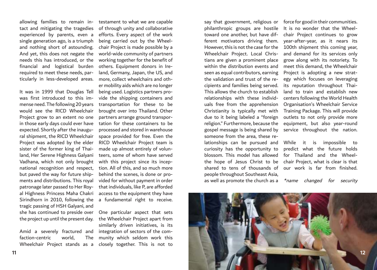single generation ago, is a triumph and nothing short of astounding. And yet, this does not negate the needs this has introduced, or the financial and logistical burden required to meet these needs, particularly in less-developed areas.

Sirindhorn in 2010, following the a fundamental right to receive. It was in 1999 that Douglas Tell was first introduced to this immense need. The following 20 years would see the RICD Wheelchair Project grow to an extent no one in those early days could ever have expected. Shortly after the inaugural shipment, the RICD Wheelchair Project was adopted by the elder sister of the former king of Thailand, Her Serene Highness Galyani Vadhana, which not only brought national recognition and respect, but paved the way for future shipments and distributions. This royal patronage later passed to Her Royal Highness Princess Maha Chakri tragic passing of HSH Galyani, and she has continued to preside over the project up until the present day.

Wheelchair Project stands as a closely together. This is not to Amid a severely fractured and faction-centric world.

allowing families to remain in- testament to what we are capable tact and mitigating the tragedies of through unity and collaborative experienced by parents, even a efforts. Every aspect of the work being carried out by the Wheelchair Project is made possible by a world-wide community of partners working together for the benefit of others. Equipment donors in Ireland, Germany, Japan, the US, and more, collect wheelchairs and other mobility aids which are no longer being used. Logistics partners provide the shipping containers and transportation for these to be brought over into Thailand. Other partners arrange ground transportation for these containers to be processed and stored in warehouse space provided for free. Even the RICD Wheelchair Project team is made up almost entirely of volunteers, some of whom have served with this project since its inception. All of this, and so much more behind the scenes, is done or provided for without payment in order that individuals, like P, are afforded access to the equipment they have

> One particular aspect that sets the Wheelchair Project apart from similarly driven initiatives, is its integration of sectors of the com-The munity which seldom work this

say that government, religious or force for good in their communities. philanthropic groups are hostile It is no wonder that the Wheeltoward one another, but have dif-chair Project continues to grow ferent motivators driving them. year-after-year, as it nears its However, this is not the case for the 100th shipment this coming year, Wheelchair Project. Local Christians are given a prominent place within the distribution events and seen as equal contributors, earning the validation and trust of the recipients and families being served. This allows the church to establish relationships with these individuals free from the apprehension Christianity is typically met with due to it being labeled a "foreign religion." Furthermore, because the gospel message is being shared by someone from the area, these relationships can be pursued and While it is impossible to curiosity has the opportunity to predict what the future holds blossom. This model has allowed for Thailand and the Wheelthe hope of Jesus Christ to be chair Project, what is clear is that shared to tens of thousands of our work is far from finished. people throughout Southeast Asia,

and demand for its services only grow along with its notoriety. To meet this demand, the Wheelchair Project is adopting a new strategy which focuses on leveraging its reputation throughout Thailand to train and establish new centers following the World Health Organisation's Wheelchair Service Training Package. This will provide outlets to not only provide more equipment, but also year-round service throughout the nation.

as well as promote the church as a \*name changed for security

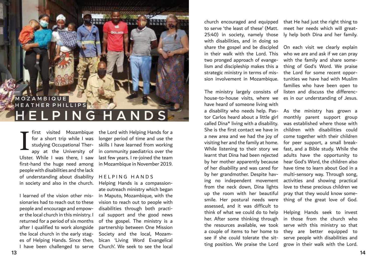### **H E L P I N G H A N D S M O Z A M B I Q U E EATHER PHILLIPS**

first visited Mozambique for a short trip while I was studying Occupational Therapy at the University of Ulster. While I was there, I saw first-hand the huge need among people with disabilities and the lack of understanding about disability in society and also in the church. I

I learned of the vision other missionaries had to reach out to these people and encourage and empower the local church in this ministry. I returned for a period of six months after I qualified to work alongside the local church in the early stages of Helping Hands. Since then, I have been challenged to serve

the Lord with Helping Hands for a longer period of time and use the skills I have learned from working in community paediatrics over the last few years. I re-joined the team in Mozambique in November 2019.

#### HELPING HANDS

Helping Hands is a compassionate outreach ministry which began in Maputo, Mozambique, with the vision to reach out to people with disabilities through both practical support and the good news of the gospel. The ministry is a partnership between One Mission Society and the local, Mozambican 'Living Word Evangelical Church'. We seek to see the local

to serve 'the least of these' (Matt. meet her needs which will great-25:40) in society, namely those ly help both Dina and her family. with disabilities, and in doing so share the gospel and be discipled On each visit we clearly explain in their walk with the Lord. This two pronged approach of evangelism and discipleship makes this a strategic ministry in terms of mis-

house-to-house visits, where we es in our understanding of Jesus. have heard of someone living with a disability who needs help. Pastor Carlos heard about a little girl called Dina\* living with a disability. She is the first contact we have in a new area and we had the joy of visiting her and the family at home. While listening to their story we learnt that Dina had been rejected by her mother apparently because of her disability and was cared for by her grandmother. Despite having no independent movement from the neck down, Dina lights up the room with her beautiful smile. Her postural needs were assessed, and it was difficult to think of what we could do to help her. After some thinking through the resources available, we took a couple of items to her home to see if she could tolerate the sitting position. We praise the Lord

church encouraged and equipped that He had just the right thing to

sion involvement in Mozambique. tunities we have had with Muslim The ministry largely consists of listen and discuss the differencwho we are and ask if we can pray with the family and share something of God's Word. We praise the Lord for some recent opporfamilies who have been open to

> As the ministry has grown a monthly parent support group was established where those with children with disabilities could come together with their children for peer support, a small breakfast, and a Bible study. While the adults have the opportunity to hear God's Word, the children also have time to learn about God in a multi-sensory way. Through song, activities and showing practical love to these precious children we pray that they would know something of the great love of God.

> Helping Hands seek to invest in those from the church who serve with this ministry so that they are better equipped to serve people with disabilities and grow in their walk with the Lord.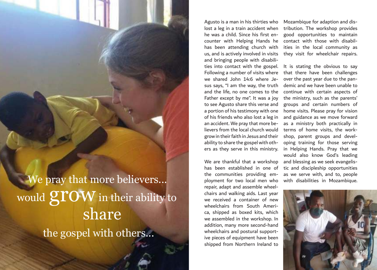share We pray that more believers... would  $\operatorname{\mathbf{grow}}$  in their ability to the gospel with others...

Agusto is a man in his thirties who lost a leg in a train accident when tribution. The workshop provides he was a child. Since his first encounter with Helping Hands he contact with those with disabilhas been attending church with ities in the local community as us, and is actively involved in visits they visit for wheelchair repairs. and bringing people with disabilities into contact with the gospel. Following a number of visits where we shared John 14:6 where Jesus says, "I am the way, the truth and the life, no one comes to the Father except by me". It was a joy to see Agusto share this verse and a portion of his testimony with one of his friends who also lost a leg in an accident. We pray that more believers from the local church would grow in their faith in Jesus and their ability to share the gospel with others as they serve in this ministry.

We are thankful that a workshop has been established in one of the communities providing employment for two local men who repair, adapt and assemble wheelchairs and walking aids. Last year we received a container of new wheelchairs from South America, shipped as boxed kits, which we assembled in the workshop. In addition, many more second-hand wheelchairs and postural supportive pieces of equipment have been shipped from Northern Ireland to

Mozambique for adaption and disgood opportunities to maintain

It is stating the obvious to say that there have been challenges over the past year due to the pandemic and we have been unable to continue with certain aspects of the ministry, such as the parents' groups and certain numbers of home visits. Please pray for vision and guidance as we move forward as a ministry both practically in terms of home visits, the workshop, parent groups and developing training for those serving in Helping Hands. Pray that we would also know God's leading and blessing as we seek evangelistic and discipleship opportunities as we serve with, and to, people with disabilities in Mozambique.

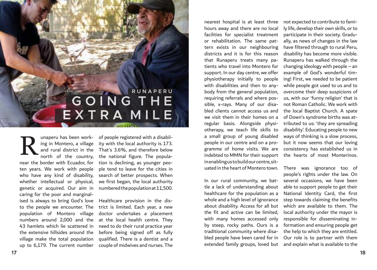# **G O I N G T H E E X T R A M I L E R U N A P E R U**

north of the country, near the border with Ecuador, for ten years. We work with people who have any kind of disability, whether intellectual or physical, genetic or acquired. Our aim in caring for the poor and marginalised is always to bring God's love to the people we encounter. The population of Montero village numbers around 2,000 and the at the local health centre. They 43 hamlets which lie scattered in the extensive hillsides around the village make the total population up to 6,179. The current number R

unaperu has been work-of people registered with a disabiling in Montero, a village ity with the local authority is 173. and rural district in the That's 3.6%, and therefore below the national figure. The population is declining, as younger people tend to leave for the cities in search of better prospects. When we first began, the local authority numbered the population at 11,500.

> Healthcare provision in the district is limited. Each year, a new doctor undertakes a placement need to do their rural practice year before being signed off as fully qualified. There is a dentist and a couple of midwives and nurses. The

nearest hospital is at least three not expected to contribute to famihours away and there are no local facilities for specialist treatment or rehabilitation. The same pattern exists in our neighbouring districts and it is for this reason that Runaperu treats many patients who travel into Montero for support. In our day centre, we offer physiotherapy initially to people with disabilities and then to anybody from the general population, requiring referrals and where possible, x-rays. Many of our disabled clients cannot access us and we visit them in their homes on a regular basis. Alongside physiotherapy, we teach life skills to a small group of young disabled people in our centre and on a programme of home visits. We are indebted to MMN for their support the hearts of most Monterinos. in enabling us to build our centre, situated in the heart of Montero town.

In our rural community, we battle a lack of understanding about healthcare for the population as a whole and a high level of ignorance about disability. Access for all but the fit and active can be limited, with many homes accessed only by steep, rocky paths. Ours is a traditional community where disabled people have been cared for in extended family groups, loved but

ly life, develop their own skills, or to participate in their society. Gradually, as news of changes in the law have filtered through to rural Peru, disability has become more visible. Runaperu has walked through the changing ideology with people – an example of God's wonderful timing! First, we needed to be patient while people got used to us and to overcome their deep suspicions of us, with our 'funny religion' that is not Roman Catholic. We work with the local Baptist Church. A spate of Down's syndrome births was attributed to us: 'they are spreading disability'. Educating people to new ways of thinking is a slow process, but it now seems that our loving consistency has established us in

There was ignorance too of people's rights under the law. On several occasions, we have been able to support people to get their National Identity Card, the first step towards claiming the benefits which are available to them. The local authority under the mayor is responsible for disseminating information and ensuring people get the help to which they are entitled. Our role is to partner with them and explain what is available to the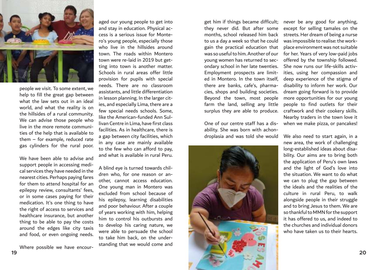

people we visit. To some extent, we help to fill the great gap between what the law sets out in an ideal world, and what the reality is on the hillsides of a rural community. We can advise those people who live in the more remote communities of the help that is available to them – for example, reduced rate gas cylinders for the rural poor.

We have been able to advise and support people in accessing medical services they have needed in the nearest cities. Perhaps paying fares for them to attend hospital for an epilepsy review, consultants' fees, or in some cases paying for their medication. It's one thing to have the right of access to services and healthcare insurance, but another thing to be able to pay the costs around the edges like city taxis and food, or even ongoing needs.

Where possible we have encour-

aged our young people to get into and stay in education. Physical access is a serious issue for Montero's young people, especially those who live in the hillsides around town. The roads within Montero town were re-laid in 2019 but getting into town is another matter. Schools in rural areas offer little provision for pupils with special needs. There are no classroom assistants, and little differentiation in lesson planning. In the larger cities, and especially Lima, there are a few special needs schools. Some, like the American-funded Ann Sullivan Centre in Lima, have first class facilities. As in healthcare, there is a gap between city facilities, which in any case are mainly available to the few who can afford to pay, and what is available in rural Peru.

A blind eye is turned towards children who, for one reason or another, cannot access education. One young man in Montero was excluded from school because of his epilepsy, learning disabilities and poor behaviour. After a couple of years working with him, helping him to control his outbursts and to develop his caring nature, we were able to persuade the school to take him back, on the understanding that we would come and get him if things became difficult; they never did. But after some months, school released him back to us a day a week so that he could gain the practical education that was so useful to him. Another of our young women has returned to secondary school in her late twenties. Employment prospects are limited in Montero. In the town itself, there are banks, cafe's, pharmacies, shops and building societies. Beyond the town, most people farm the land, selling any little surplus they are able to produce.

One of our centre staff has a disability. She was born with achondroplasia and was told she would



never be any good for anything, except for selling tamales on the streets. Her dream of being a nurse was impossible to realise: the workplace environment was not suitable for her. Years of very low-paid jobs offered by the township followed. She now runs our life-skills activities, using her compassion and deep experience of the stigma of disability to inform her work. Our dream going forward is to provide more opportunities for our young people to find outlets for their craftwork and their cookery skills. Nearby traders in the town love it when we make pizza, or pancakes!

We also need to start again, in a new area, the work of challenging long-established ideas about disability. Our aims are to bring both the application of Peru's own laws and the light of God's love into the situation. We want to do what we can to plug the gap between the ideals and the realities of the culture in rural Peru, to walk alongside people in their struggle and to bring Jesus to them. We are so thankful to MMN for the support it has offered to us, and indeed to the churches and individual donors who have taken us to their hearts.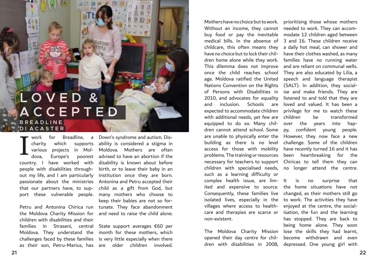# **L O V E D & A C C E P T E D B R E A D L I N E D I A C A S T E R**

country. I have worked with disability is known about before people with disabilities through-birth, or to leave their baby in an out my life, and I am particularly institution once they are born. passionate about the ministries Antonina and Petru accepted their that our partners have, to support these vulnerable people. many mothers who choose to I

the Moldova Charity Mission for children with disabilities and their families in Straseni, central State-support-averages €60 per Moldova. They understand the month for these mothers, which challenges faced by these families is very little especially when there as their son, Petru-Marius, has are older children involved.

work for Breadline, a Down's syndrome and autism. Discharity which supports ability is considered a stigma in various projects in Mol-Moldova. Mothers are often dova, Europe's poorest advised to have an abortion if the Petru and Antonina Chirica run tunate. They face abandonment child as a gift from God, but keep their babies are not so forand need to raise the child alone.

Mothers have no choice but to work. prioritising those whose mothers Without an income, they cannot needed to work. They can accombuy food or pay the inevitable modate 12 children aged between medical bills. In the absence of 3 and 16. These children receive childcare, this often means they a daily hot meal, can shower and have no choice but to lock their chil-have their clothes washed, as many dren home alone while they work. families have no running water This dilemma does not improve and are reliant on communal wells. once the child reaches school They are also educated by Lilia, a age. Moldova ratified the United speech and language therapist Nations Convention on the Rights (SALT). In addition, they socialof Persons with Disabilities in ise and make friends. They are 2010, and advocates for equality listened to and told that they are and inclusion. Schools are loved and valued. It has been a expected to accommodate children privilege for me to watch these with additional needs, yet few are children equipped to do so. Many chil-over the years into hapdren cannot attend school. Some py, confident young people. are unable to physically enter the However, they now face a new building as there is no level challenge. Some of the children access for those with mobility have recently turned 16 and it has problems. The training or resources been heartbreaking for the necessary for teachers to support Chiricas to tell them they can children with specialised needs, no longer attend the centre. such as a learning difficulty or complex health issue, are limited and expensive to source. the home situations have not Consequently, these families live changed, as their mothers still go isolated lives, especially in the to work. The activities they have villages where access to healthcare and therapies are scarce or isation, the fun and the learning non-existent.

opened their day centre for chil-

be transformed

The Moldova Charity Mission lose the skills they had learnt, dren with disabilities in 2008, depressed. One young girl with is no surprise that enjoyed at the centre, the socialhas stopped. They are back to being home alone. They soon become withdrawn and even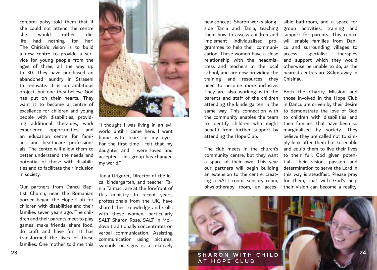cerebral palsy told them that if she could not attend the centre she would rather die; life had nothing for her! The Chirica's vision is to build a new centre to provide a service for young people from the ages of three, all the way up to 30. They have purchased an abandoned laundry in Straseni to renovate. It is an ambitious project, but one they believe God has put on their hearts. They want it to become a centre of excellence for children and young people with disabilities, providing additional therapies, work experience opportunities and an education centre for families and healthcare professionals. The centre will allow them to better understand the needs and potential of those with disabilities and to facilitate their inclusion in society.

Our partners from Dancu Baptist Church, near the Romanian border, began the Hope Club for children with disabilities and their families seven years ago. The children and their parents meet to play games, make friends, share food, do craft and have fun! It has transformed the lives of these families. One mother told me this



"I thought I was living in an evil world until I came here. I went home with tears in my eyes. For the first time I felt that my daughter and I were loved and accepted. This group has changed my world."

Tania Grigoret, Director of the local kindergarten, and teacher Tania Talmaci, are at the forefront of this ministry. In recent years, professionals from the UK, have shared their knowledge and skills with these women, particularly SALT Sharon Rose. SALT in Moldova traditionally concentrates on verbal communication. Assisting communication using pictures, symbols or signs is a relatively

side Tania and Tania, teaching group activities, training and them how to assess children and support for parents. This centre implement individualised pro-will enable families from Dangrammes to help their communi-cu and surrounding villages to cation. These women have a close relationship with the headmistress and teachers at the local otherwise be unable to do, as the school, and are now providing the nearest centres are 84km away in training and resources they Chisinau. need to become more inclusive. They are also working with the Both the Charity Mission and parents and staff of the children those involved in the Hope Club attending the kindergarten in the in Dancu are driven by their desire same way. This connection with the community enables the team to identify children who might their families, that have been so benefit from further support by marginalised by society. They attending the Hope Club.

The club meets in the church's and equip them to live their lives community centre, but they want to their full, God given potena space of their own. This year tial. Their vision, passion and our partners will begin building determination to serve the Lord in an extension to the centre, creat-this way is steadfast. Please pray ing a SALT room, sensory room, for them, that with God's help

new concept. Sharon works along-sible bathroom, and a space for specialist therapies and support which they would

physiotherapy room, an acces-their vision can become a reality. to demonstrate the love of God to children with disabilities and believe they are called not to simply look after them but to enable

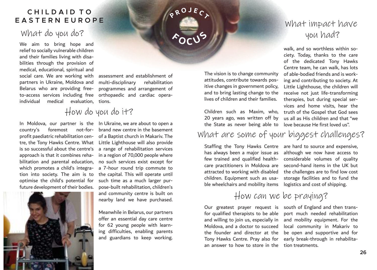#### **C H I L D A I D T O E A S T E R N E U R O P E**

### What do you do?

We aim to bring hope and relief to socially vulnerable children and their families living with disabilities through the provision of medical, educational, spiritual and social care. We are working with partners in Ukraine, Moldova and Belarus who are providing freeindividual medical evaluation,

to-access services including free orthopaedic and cardiac operaassessment and establishment of multi-disciplinary rehabilitation programmes and arrangement of tions.

## How do you do it?

country's foremost optimise the child's potential for such time as a much larger purfuture development of their bodies.



In Moldova, our partner is the In Ukraine, we are about to open a profit paediatric rehabilitation cen-of a Baptist church in Makariv. The tre, the Tony Hawks Centre. What Little Lighthouse will also provide is so successful about the centre's a range of rehabilitation services approach is that it combines reha-in a region of 70,000 people where bilitation and parental education, no such services exist except for which promotes a child's integra-a 7-hour round trip commute to tion into society. The aim is to the capital. This will operate until not-for- brand new centre in the basement pose-built rehabilitation, children's and community centre is built on nearby land we have purchased.

> Meanwhile in Belarus, our partners offer an essential day care centre for 62 young people with learning difficulties, enabling parents and guardians to keep working.

The vision is to change community attitudes, contribute towards positive changes in government policy, and to bring lasting change to the

**P <sup>R</sup> <sup>O</sup> <sup>J</sup> <sup>E</sup> <sup>C</sup> <sup>T</sup>**

**<sup>F</sup> <sup>O</sup> <sup>C</sup> <sup>U</sup> <sup>S</sup>**

20 years ago, was written off by the State as never being able to

lives of children and their families.

### What are some of your biggest challenges?

Staffing the Tony Hawks Centre are hard to source and expensive, has always been a major issue as few trained and qualified healthcare practitioners in Moldova are second-hand items in the UK but attracted to working with disabled children. Equipment such as usable wheelchairs and mobility items

although we now have access to considerable volumes of quality the challenges are to find low cost storage facilities and to fund the logistics and cost of shipping.

How can we be praying?

for qualified therapists to be able port much needed rehabilitation and willing to join us, especially in and mobility equipment. For the Moldova, and a doctor to succeed local community in Makariv to the founder and director at the be open and supportive and for Tony Hawks Centre. Pray also for early break-through in rehabilitaan answer to how to store in the tion treatments.

Our greatest prayer request is south of England and then trans-

# What impact have you had?

Children such as Maxim, who, truth of the Gospel that God sees walk, and so worthless within society. Today, thanks to the care of the dedicated Tony Hawks Centre team, he can walk, has lots of able-bodied friends and is working and contributing to society. At Little Lighthouse, the children will receive not just life-transforming therapies, but during special services and home visits, hear the us all as His children and that "we love because He first loved us".